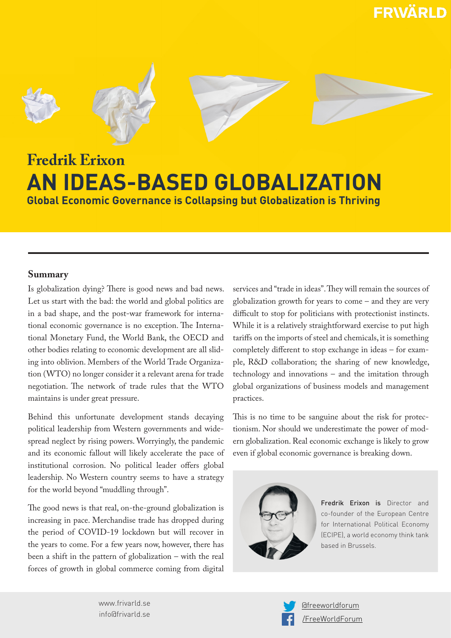**FRWÄRLD** 









# **Fredrik Erixon AN IDEAS-BASED GLOBALIZATION Global Economic Governance is Collapsing but Globalization is Thriving**

## **Summary**

Is globalization dying? There is good news and bad news. Let us start with the bad: the world and global politics are in a bad shape, and the post-war framework for international economic governance is no exception. The International Monetary Fund, the World Bank, the OECD and other bodies relating to economic development are all sliding into oblivion. Members of the World Trade Organization (WTO) no longer consider it a relevant arena for trade negotiation. The network of trade rules that the WTO maintains is under great pressure.

Behind this unfortunate development stands decaying political leadership from Western governments and widespread neglect by rising powers. Worryingly, the pandemic and its economic fallout will likely accelerate the pace of institutional corrosion. No political leader offers global leadership. No Western country seems to have a strategy for the world beyond "muddling through".

The good news is that real, on-the-ground globalization is increasing in pace. Merchandise trade has dropped during the period of COVID-19 lockdown but will recover in the years to come. For a few years now, however, there has been a shift in the pattern of globalization – with the real forces of growth in global commerce coming from digital

services and "trade in ideas". They will remain the sources of globalization growth for years to come – and they are very difficult to stop for politicians with protectionist instincts. While it is a relatively straightforward exercise to put high tariffs on the imports of steel and chemicals, it is something completely different to stop exchange in ideas – for example, R&D collaboration; the sharing of new knowledge, technology and innovations – and the imitation through global organizations of business models and management practices.

This is no time to be sanguine about the risk for protectionism. Nor should we underestimate the power of modern globalization. Real economic exchange is likely to grow even if global economic governance is breaking down.



Fredrik Erixon is Director and co-founder of the European Centre for International Political Economy (ECIPE), a world economy think tank based in Brussels.

www.frivarld.se info@frivarld.se

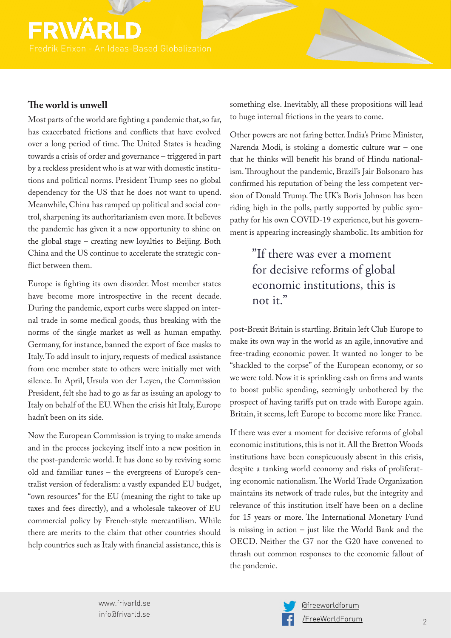# FRWÄ

## **The world is unwell**

Most parts of the world are fighting a pandemic that, so far, has exacerbated frictions and conflicts that have evolved over a long period of time. The United States is heading towards a crisis of order and governance – triggered in part by a reckless president who is at war with domestic institutions and political norms. President Trump sees no global dependency for the US that he does not want to upend. Meanwhile, China has ramped up political and social control, sharpening its authoritarianism even more. It believes the pandemic has given it a new opportunity to shine on the global stage – creating new loyalties to Beijing. Both China and the US continue to accelerate the strategic conflict between them.

Europe is fighting its own disorder. Most member states have become more introspective in the recent decade. During the pandemic, export curbs were slapped on internal trade in some medical goods, thus breaking with the norms of the single market as well as human empathy. Germany, for instance, banned the export of face masks to Italy. To add insult to injury, requests of medical assistance from one member state to others were initially met with silence. In April, Ursula von der Leyen, the Commission President, felt she had to go as far as issuing an apology to Italy on behalf of the EU. When the crisis hit Italy, Europe hadn't been on its side.

Now the European Commission is trying to make amends and in the process jockeying itself into a new position in the post-pandemic world. It has done so by reviving some old and familiar tunes – the evergreens of Europe's centralist version of federalism: a vastly expanded EU budget, "own resources" for the EU (meaning the right to take up taxes and fees directly), and a wholesale takeover of EU commercial policy by French-style mercantilism. While there are merits to the claim that other countries should help countries such as Italy with financial assistance, this is something else. Inevitably, all these propositions will lead to huge internal frictions in the years to come.

Other powers are not faring better. India's Prime Minister, Narenda Modi, is stoking a domestic culture war – one that he thinks will benefit his brand of Hindu nationalism. Throughout the pandemic, Brazil's Jair Bolsonaro has confirmed his reputation of being the less competent version of Donald Trump. The UK's Boris Johnson has been riding high in the polls, partly supported by public sympathy for his own COVID-19 experience, but his government is appearing increasingly shambolic. Its ambition for

## "If there was ever a moment for decisive reforms of global economic institutions, this is not it."

post-Brexit Britain is startling. Britain left Club Europe to make its own way in the world as an agile, innovative and free-trading economic power. It wanted no longer to be "shackled to the corpse" of the European economy, or so we were told. Now it is sprinkling cash on firms and wants to boost public spending, seemingly unbothered by the prospect of having tariffs put on trade with Europe again. Britain, it seems, left Europe to become more like France.

If there was ever a moment for decisive reforms of global economic institutions, this is not it. All the Bretton Woods institutions have been conspicuously absent in this crisis, despite a tanking world economy and risks of proliferating economic nationalism. The World Trade Organization maintains its network of trade rules, but the integrity and relevance of this institution itself have been on a decline for 15 years or more. The International Monetary Fund is missing in action – just like the World Bank and the OECD. Neither the G7 nor the G20 have convened to thrash out common responses to the economic fallout of the pandemic.

www.frivarld.se info@frivarld.se

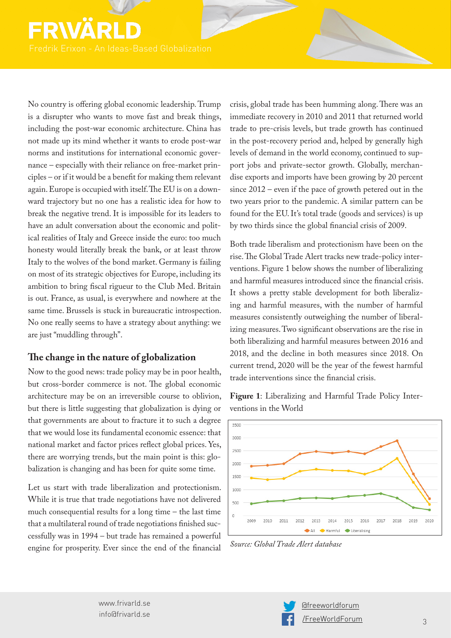# FRWÄ

No country is offering global economic leadership. Trump is a disrupter who wants to move fast and break things, including the post-war economic architecture. China has not made up its mind whether it wants to erode post-war norms and institutions for international economic governance – especially with their reliance on free-market principles – or if it would be a benefit for making them relevant again. Europe is occupied with itself. The EU is on a downward trajectory but no one has a realistic idea for how to break the negative trend. It is impossible for its leaders to have an adult conversation about the economic and political realities of Italy and Greece inside the euro: too much honesty would literally break the bank, or at least throw Italy to the wolves of the bond market. Germany is failing on most of its strategic objectives for Europe, including its ambition to bring fiscal rigueur to the Club Med. Britain is out. France, as usual, is everywhere and nowhere at the same time. Brussels is stuck in bureaucratic introspection. No one really seems to have a strategy about anything: we are just "muddling through".

## **The change in the nature of globalization**

Now to the good news: trade policy may be in poor health, but cross-border commerce is not. The global economic architecture may be on an irreversible course to oblivion, but there is little suggesting that globalization is dying or that governments are about to fracture it to such a degree that we would lose its fundamental economic essence: that national market and factor prices reflect global prices. Yes, there are worrying trends, but the main point is this: globalization is changing and has been for quite some time.

Let us start with trade liberalization and protectionism. While it is true that trade negotiations have not delivered much consequential results for a long time – the last time that a multilateral round of trade negotiations finished successfully was in 1994 – but trade has remained a powerful engine for prosperity. Ever since the end of the financial

crisis, global trade has been humming along. There was an immediate recovery in 2010 and 2011 that returned world trade to pre-crisis levels, but trade growth has continued in the post-recovery period and, helped by generally high levels of demand in the world economy, continued to support jobs and private-sector growth. Globally, merchandise exports and imports have been growing by 20 percent since 2012 – even if the pace of growth petered out in the two years prior to the pandemic. A similar pattern can be found for the EU. It's total trade (goods and services) is up by two thirds since the global financial crisis of 2009.

Both trade liberalism and protectionism have been on the rise. The Global Trade Alert tracks new trade-policy interventions. Figure 1 below shows the number of liberalizing and harmful measures introduced since the financial crisis. It shows a pretty stable development for both liberalizing and harmful measures, with the number of harmful measures consistently outweighing the number of liberalizing measures. Two significant observations are the rise in both liberalizing and harmful measures between 2016 and 2018, and the decline in both measures since 2018. On current trend, 2020 will be the year of the fewest harmful trade interventions since the financial crisis.

**Figure 1**: Liberalizing and Harmful Trade Policy Interventions in the World



*Source: Global Trade Alert database*

www.frivarld.se info@frivarld.se

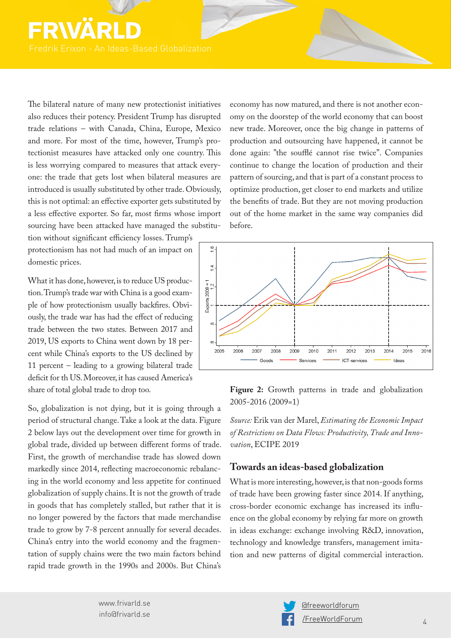The bilateral nature of many new protectionist initiatives also reduces their potency. President Trump has disrupted trade relations – with Canada, China, Europe, Mexico and more. For most of the time, however, Trump's protectionist measures have attacked only one country. This is less worrying compared to measures that attack everyone: the trade that gets lost when bilateral measures are introduced is usually substituted by other trade. Obviously, this is not optimal: an effective exporter gets substituted by a less effective exporter. So far, most firms whose import sourcing have been attacked have managed the substitu-

tion without significant efficiency losses. Trump's protectionism has not had much of an impact on domestic prices.

What it has done, however, is to reduce US production. Trump's trade war with China is a good example of how protectionism usually backfires. Obviously, the trade war has had the effect of reducing trade between the two states. Between 2017 and 2019, US exports to China went down by 18 percent while China's exports to the US declined by 11 percent – leading to a growing bilateral trade deficit for th US. Moreover, it has caused America's share of total global trade to drop too.

So, globalization is not dying, but it is going through a period of structural change. Take a look at the data. Figure 2 below lays out the development over time for growth in global trade, divided up between different forms of trade. First, the growth of merchandise trade has slowed down markedly since 2014, reflecting macroeconomic rebalancing in the world economy and less appetite for continued globalization of supply chains. It is not the growth of trade in goods that has completely stalled, but rather that it is no longer powered by the factors that made merchandise trade to grow by 7-8 percent annually for several decades. China's entry into the world economy and the fragmentation of supply chains were the two main factors behind rapid trade growth in the 1990s and 2000s. But China's

economy has now matured, and there is not another economy on the doorstep of the world economy that can boost new trade. Moreover, once the big change in patterns of production and outsourcing have happened, it cannot be done again: "the soufflé cannot rise twice". Companies continue to change the location of production and their pattern of sourcing, and that is part of a constant process to optimize production, get closer to end markets and utilize the benefits of trade. But they are not moving production out of the home market in the same way companies did before.



**Figure 2:** Growth patterns in trade and globalization 2005-2016 (2009=1)

*Source:* Erik van der Marel, *Estimating the Economic Impact of Restrictions on Data Flows: Productivity, Trade and Innovation*, ECIPE 2019

### **Towards an ideas-based globalization**

What is more interesting, however, is that non-goods forms of trade have been growing faster since 2014. If anything, cross-border economic exchange has increased its influence on the global economy by relying far more on growth in ideas exchange: exchange involving R&D, innovation, technology and knowledge transfers, management imitation and new patterns of digital commercial interaction.

www.frivarld.se info@frivarld.se

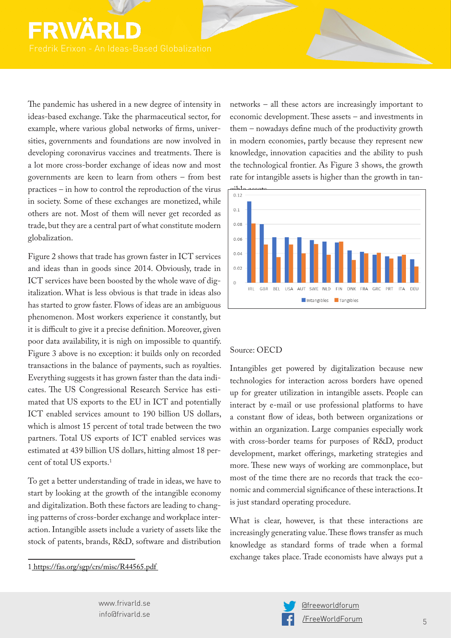The pandemic has ushered in a new degree of intensity in ideas-based exchange. Take the pharmaceutical sector, for example, where various global networks of firms, universities, governments and foundations are now involved in developing coronavirus vaccines and treatments. There is a lot more cross-border exchange of ideas now and most governments are keen to learn from others – from best practices – in how to control the reproduction of the virus in society. Some of these exchanges are monetized, while others are not. Most of them will never get recorded as trade, but they are a central part of what constitute modern globalization.

Figure 2 shows that trade has grown faster in ICT services and ideas than in goods since 2014. Obviously, trade in ICT services have been boosted by the whole wave of digitalization. What is less obvious is that trade in ideas also has started to grow faster. Flows of ideas are an ambiguous phenomenon. Most workers experience it constantly, but it is difficult to give it a precise definition. Moreover, given poor data availability, it is nigh on impossible to quantify. Figure 3 above is no exception: it builds only on recorded transactions in the balance of payments, such as royalties. Everything suggests it has grown faster than the data indicates. The US Congressional Research Service has estimated that US exports to the EU in ICT and potentially ICT enabled services amount to 190 billion US dollars, which is almost 15 percent of total trade between the two partners. Total US exports of ICT enabled services was estimated at 439 billion US dollars, hitting almost 18 percent of total US exports.<sup>1</sup>

To get a better understanding of trade in ideas, we have to start by looking at the growth of the intangible economy and digitalization. Both these factors are leading to changing patterns of cross-border exchange and workplace interaction. Intangible assets include a variety of assets like the stock of patents, brands, R&D, software and distribution

1 [https://fas.org/sgp/crs/misc/R44565.pdf](about:blank)

networks – all these actors are increasingly important to economic development. These assets – and investments in them – nowadays define much of the productivity growth in modern economies, partly because they represent new knowledge, innovation capacities and the ability to push the technological frontier. As Figure 3 shows, the growth rate for intangible assets is higher than the growth in tan-



### Source: OECD

Intangibles get powered by digitalization because new technologies for interaction across borders have opened up for greater utilization in intangible assets. People can interact by e-mail or use professional platforms to have a constant flow of ideas, both between organizations or within an organization. Large companies especially work with cross-border teams for purposes of R&D, product development, market offerings, marketing strategies and more. These new ways of working are commonplace, but most of the time there are no records that track the economic and commercial significance of these interactions. It is just standard operating procedure.

What is clear, however, is that these interactions are increasingly generating value. These flows transfer as much knowledge as standard forms of trade when a formal exchange takes place. Trade economists have always put a



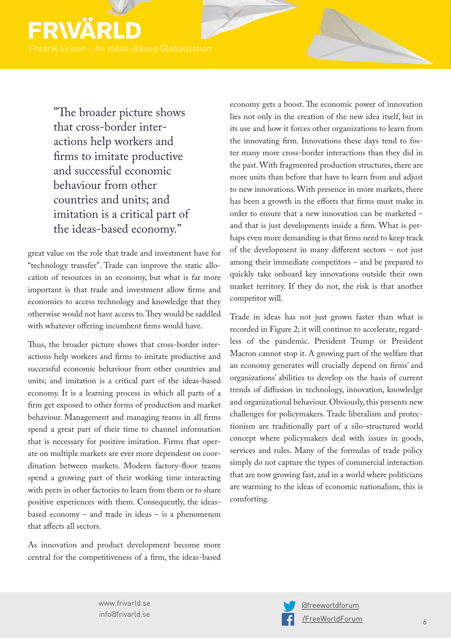

"The broader picture shows that cross-border interactions help workers and firms to imitate productive and successful economic behaviour from other countries and units; and imitation is a critical part of the ideas-based economy."

great value on the role that trade and investment have for "technology transfer". Trade can improve the static allocation of resources in an economy, but what is far more important is that trade and investment allow firms and economies to access technology and knowledge that they otherwise would not have access to. They would be saddled with whatever offering incumbent firms would have.

Thus, the broader picture shows that cross-border interactions help workers and firms to imitate productive and successful economic behaviour from other countries and units; and imitation is a critical part of the ideas-based economy. It is a learning process in which all parts of a firm get exposed to other forms of production and market behaviour. Management and managing teams in all firms spend a great part of their time to channel information that is necessary for positive imitation. Firms that operate on multiple markets are ever more dependent on coordination between markets. Modern factory-floor teams spend a growing part of their working time interacting with peers in other factories to learn from them or to share positive experiences with them. Consequently, the ideasbased economy – and trade in ideas – is a phenomenon that affects all sectors.

As innovation and product development become more central for the competitiveness of a firm, the ideas-based economy gets a boost. The economic power of innovation lies not only in the creation of the new idea itself, but in its use and how it forces other organizations to learn from the innovating firm. Innovations these days tend to foster many more cross-border interactions than they did in the past. With fragmented production structures, there are more units than before that have to learn from and adjust to new innovations. With presence in more markets, there has been a growth in the efforts that firms must make in order to ensure that a new innovation can be marketed – and that is just developments inside a firm. What is perhaps even more demanding is that firms need to keep track of the development in many different sectors – not just among their immediate competitors – and be prepared to quickly take onboard key innovations outside their own market territory. If they do not, the risk is that another competitor will.

Trade in ideas has not just grown faster than what is recorded in Figure 2; it will continue to accelerate, regardless of the pandemic. President Trump or President Macron cannot stop it. A growing part of the welfare that an economy generates will crucially depend on firms' and organizations' abilities to develop on the basis of current trends of diffusion in technology, innovation, knowledge and organizational behaviour. Obviously, this presents new challenges for policymakers. Trade liberalism and protectionism are traditionally part of a silo-structured world concept where policymakers deal with issues in goods, services and rules. Many of the formulas of trade policy simply do not capture the types of commercial interaction that are now growing fast, and in a world where politicians are warming to the ideas of economic nationalism, this is comforting.